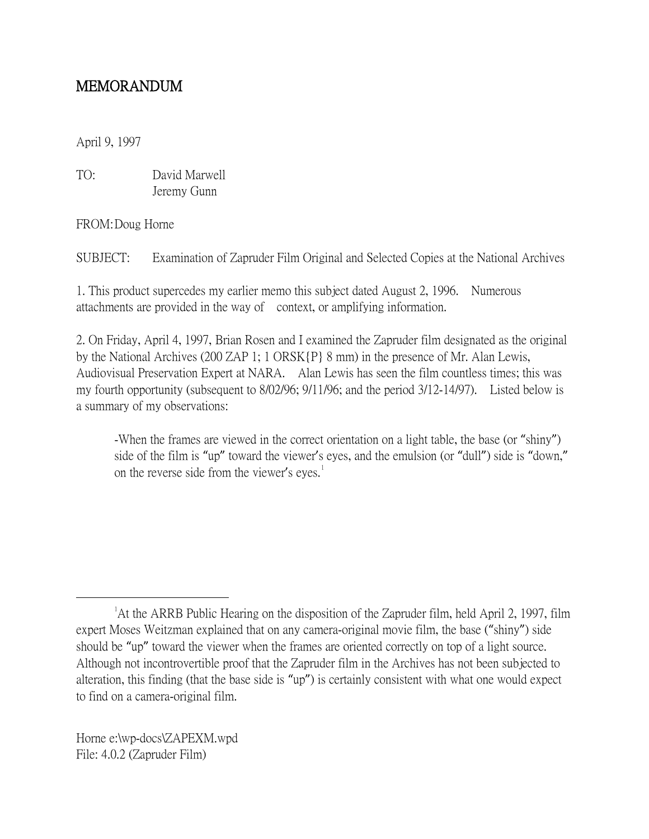## MEMORANDUM

April 9, 1997

TO: David Marwell Jeremy Gunn

FROM:Doug Horne

SUBJECT: Examination of Zapruder Film Original and Selected Copies at the National Archives

1. This product supercedes my earlier memo this subject dated August 2, 1996. Numerous attachments are provided in the way of context, or amplifying information.

2. On Friday, April 4, 1997, Brian Rosen and I examined the Zapruder film designated as the original by the National Archives (200 ZAP 1; 1 ORSK{P} 8 mm) in the presence of Mr. Alan Lewis, Audiovisual Preservation Expert at NARA. Alan Lewis has seen the film countless times; this was my fourth opportunity (subsequent to 8/02/96; 9/11/96; and the period 3/12-14/97). Listed below is a summary of my observations:

-When the frames are viewed in the correct orientation on a light table, the base (or "shiny") side of the film is "up" toward the viewer's eyes, and the emulsion (or "dull") side is "down," on the reverse side from the viewer's eyes.<sup>[1](#page-0-0)</sup>

Horne e:\wp-docs\ZAPEXM.wpd File: 4.0.2 (Zapruder Film)

<span id="page-0-0"></span> $\overline{\phantom{a}}$ <sup>1</sup> At the ARRB Public Hearing on the disposition of the Zapruder film, held April 2, 1997, film expert Moses Weitzman explained that on any camera-original movie film, the base ("shiny") side should be "up" toward the viewer when the frames are oriented correctly on top of a light source. Although not incontrovertible proof that the Zapruder film in the Archives has not been subjected to alteration, this finding (that the base side is "up") is certainly consistent with what one would expect to find on a camera-original film.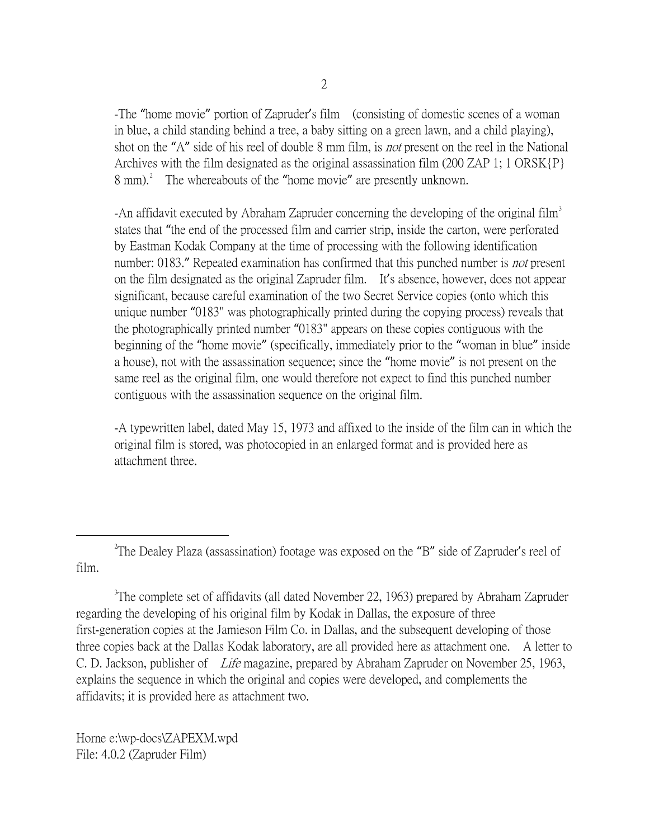-The "home movie" portion of Zapruder's film (consisting of domestic scenes of a woman in blue, a child standing behind a tree, a baby sitting on a green lawn, and a child playing), shot on the "A" side of his reel of double 8 mm film, is *not* present on the reel in the National Archives with the film designated as the original assassination film (200 ZAP 1; 1 ORSK{P}  $8 \text{ mm}$ ).<sup>[2](#page-1-0)</sup> The whereabouts of the "home movie" are presently unknown.

-An affidavit executed by Abraham Zapruder concerning the developing of the original film<sup>[3](#page-1-1)</sup> states that "the end of the processed film and carrier strip, inside the carton, were perforated by Eastman Kodak Company at the time of processing with the following identification number: 0183." Repeated examination has confirmed that this punched number is *not* present on the film designated as the original Zapruder film. It's absence, however, does not appear significant, because careful examination of the two Secret Service copies (onto which this unique number "0183" was photographically printed during the copying process) reveals that the photographically printed number "0183" appears on these copies contiguous with the beginning of the "home movie" (specifically, immediately prior to the "woman in blue" inside a house), not with the assassination sequence; since the "home movie" is not present on the same reel as the original film, one would therefore not expect to find this punched number contiguous with the assassination sequence on the original film.

-A typewritten label, dated May 15, 1973 and affixed to the inside of the film can in which the original film is stored, was photocopied in an enlarged format and is provided here as attachment three.

<span id="page-1-1"></span><sup>3</sup>The complete set of affidavits (all dated November 22, 1963) prepared by Abraham Zapruder regarding the developing of his original film by Kodak in Dallas, the exposure of three first-generation copies at the Jamieson Film Co. in Dallas, and the subsequent developing of those three copies back at the Dallas Kodak laboratory, are all provided here as attachment one. A letter to C. D. Jackson, publisher of Life magazine, prepared by Abraham Zapruder on November 25, 1963, explains the sequence in which the original and copies were developed, and complements the affidavits; it is provided here as attachment two.

Horne e:\wp-docs\ZAPEXM.wpd File: 4.0.2 (Zapruder Film)

<span id="page-1-0"></span> $\overline{\phantom{a}}$  2 <sup>2</sup>The Dealey Plaza (assassination) footage was exposed on the "B" side of Zapruder's reel of film.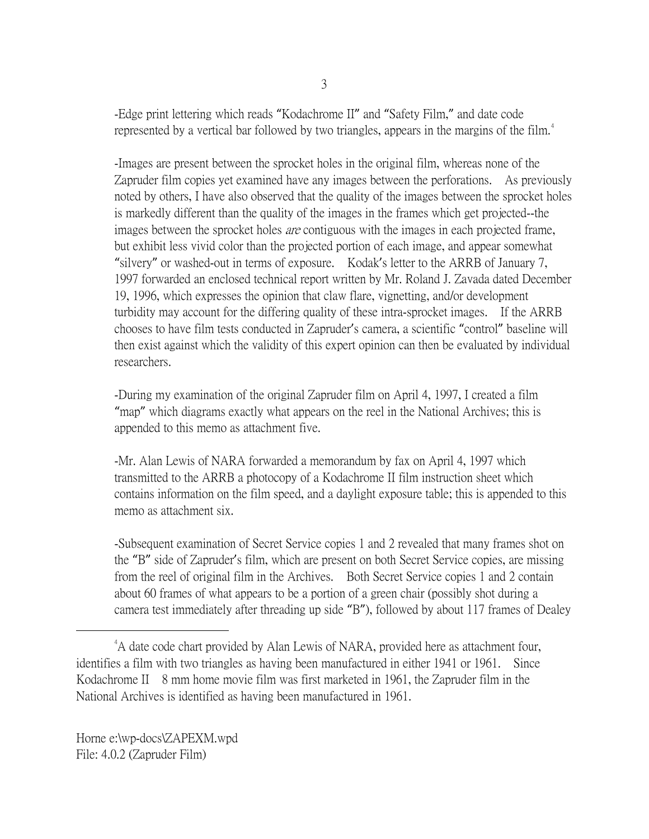-Edge print lettering which reads "Kodachrome II" and "Safety Film," and date code represented by a vertical bar followed by two triangles, appears in the margins of the film.<sup>[4](#page-2-0)</sup>

-Images are present between the sprocket holes in the original film, whereas none of the Zapruder film copies yet examined have any images between the perforations. As previously noted by others, I have also observed that the quality of the images between the sprocket holes is markedly different than the quality of the images in the frames which get projected--the images between the sprocket holes are contiguous with the images in each projected frame, but exhibit less vivid color than the projected portion of each image, and appear somewhat "silvery" or washed-out in terms of exposure. Kodak's letter to the ARRB of January 7, 1997 forwarded an enclosed technical report written by Mr. Roland J. Zavada dated December 19, 1996, which expresses the opinion that claw flare, vignetting, and/or development turbidity may account for the differing quality of these intra-sprocket images. If the ARRB chooses to have film tests conducted in Zapruder's camera, a scientific "control" baseline will then exist against which the validity of this expert opinion can then be evaluated by individual researchers.

-During my examination of the original Zapruder film on April 4, 1997, I created a film "map" which diagrams exactly what appears on the reel in the National Archives; this is appended to this memo as attachment five.

-Mr. Alan Lewis of NARA forwarded a memorandum by fax on April 4, 1997 which transmitted to the ARRB a photocopy of a Kodachrome II film instruction sheet which contains information on the film speed, and a daylight exposure table; this is appended to this memo as attachment six.

-Subsequent examination of Secret Service copies 1 and 2 revealed that many frames shot on the "B" side of Zapruder's film, which are present on both Secret Service copies, are missing from the reel of original film in the Archives. Both Secret Service copies 1 and 2 contain about 60 frames of what appears to be a portion of a green chair (possibly shot during a camera test immediately after threading up side "B"), followed by about 117 frames of Dealey

<span id="page-2-0"></span> $\frac{1}{4}$ <sup>4</sup>A date code chart provided by Alan Lewis of NARA, provided here as attachment four, identifies a film with two triangles as having been manufactured in either 1941 or 1961. Since Kodachrome II 8 mm home movie film was first marketed in 1961, the Zapruder film in the National Archives is identified as having been manufactured in 1961.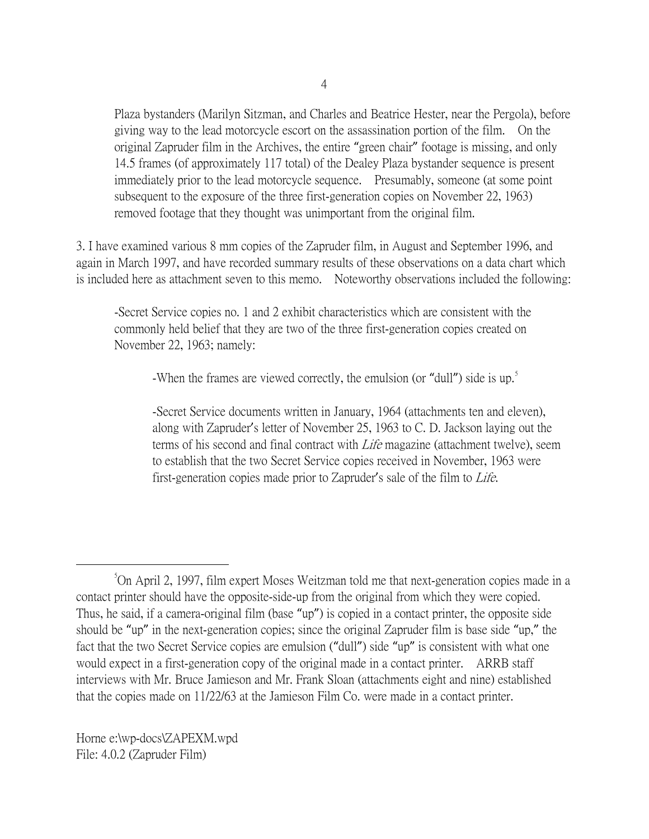Plaza bystanders (Marilyn Sitzman, and Charles and Beatrice Hester, near the Pergola), before giving way to the lead motorcycle escort on the assassination portion of the film. On the original Zapruder film in the Archives, the entire "green chair" footage is missing, and only 14.5 frames (of approximately 117 total) of the Dealey Plaza bystander sequence is present immediately prior to the lead motorcycle sequence. Presumably, someone (at some point subsequent to the exposure of the three first-generation copies on November 22, 1963) removed footage that they thought was unimportant from the original film.

3. I have examined various 8 mm copies of the Zapruder film, in August and September 1996, and again in March 1997, and have recorded summary results of these observations on a data chart which is included here as attachment seven to this memo. Noteworthy observations included the following:

-Secret Service copies no. 1 and 2 exhibit characteristics which are consistent with the commonly held belief that they are two of the three first-generation copies created on November 22, 1963; namely:

-When the frames are viewed correctly, the emulsion (or "dull") side is up.<sup>[5](#page-3-0)</sup>

-Secret Service documents written in January, 1964 (attachments ten and eleven), along with Zapruder's letter of November 25, 1963 to C. D. Jackson laying out the terms of his second and final contract with Life magazine (attachment twelve), seem to establish that the two Secret Service copies received in November, 1963 were first-generation copies made prior to Zapruder's sale of the film to Life.

Horne e:\wp-docs\ZAPEXM.wpd File: 4.0.2 (Zapruder Film)

<span id="page-3-0"></span> $\frac{1}{5}$ On April 2, 1997, film expert Moses Weitzman told me that next-generation copies made in a contact printer should have the opposite-side-up from the original from which they were copied. Thus, he said, if a camera-original film (base "up") is copied in a contact printer, the opposite side should be "up" in the next-generation copies; since the original Zapruder film is base side "up," the fact that the two Secret Service copies are emulsion ("dull") side "up" is consistent with what one would expect in a first-generation copy of the original made in a contact printer. ARRB staff interviews with Mr. Bruce Jamieson and Mr. Frank Sloan (attachments eight and nine) established that the copies made on 11/22/63 at the Jamieson Film Co. were made in a contact printer.